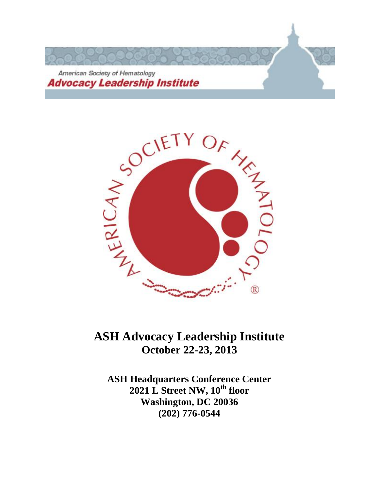



# **ASH Advocacy Leadership Institute October 22-23, 2013**

**ASH Headquarters Conference Center 2021 L Street NW, 10th floor Washington, DC 20036 (202) 776-0544**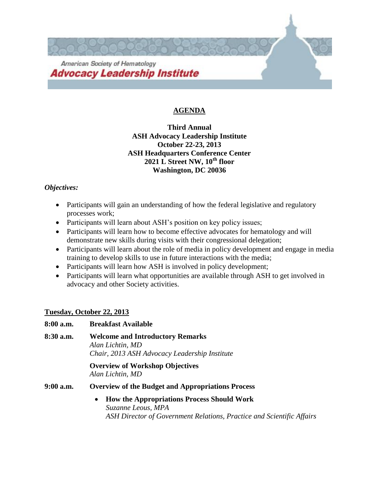

# **AGENDA**

# **Third Annual ASH Advocacy Leadership Institute October 22-23, 2013 ASH Headquarters Conference Center 2021 L Street NW, 10th floor Washington, DC 20036**

# *Objectives:*

- Participants will gain an understanding of how the federal legislative and regulatory processes work;
- Participants will learn about ASH's position on key policy issues;
- Participants will learn how to become effective advocates for hematology and will demonstrate new skills during visits with their congressional delegation;
- Participants will learn about the role of media in policy development and engage in media training to develop skills to use in future interactions with the media;
- Participants will learn how ASH is involved in policy development;
- Participants will learn what opportunities are available through ASH to get involved in advocacy and other Society activities.

# **Tuesday, October 22, 2013**

| 8:00 a.m. | <b>Breakfast Available</b>                                                                                                                                    |
|-----------|---------------------------------------------------------------------------------------------------------------------------------------------------------------|
| 8:30 a.m. | <b>Welcome and Introductory Remarks</b><br>Alan Lichtin, MD<br>Chair, 2013 ASH Advocacy Leadership Institute                                                  |
|           | <b>Overview of Workshop Objectives</b><br>Alan Lichtin, MD                                                                                                    |
| 9:00 a.m. | <b>Overview of the Budget and Appropriations Process</b>                                                                                                      |
|           | <b>How the Appropriations Process Should Work</b><br>$\bullet$<br>Suzanne Leous, MPA<br>ASH Director of Government Relations, Practice and Scientific Affairs |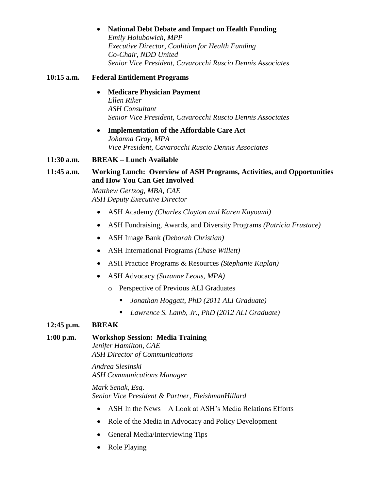#### **National Debt Debate and Impact on Health Funding**

*Emily Holubowich, MPP Executive Director, Coalition for Health Funding Co-Chair, NDD United Senior Vice President, Cavarocchi Ruscio Dennis Associates*

#### **10:15 a.m. Federal Entitlement Programs**

#### **Medicare Physician Payment** *Ellen Riker ASH Consultant Senior Vice President, Cavarocchi Ruscio Dennis Associates*

 **Implementation of the Affordable Care Act** *Johanna Gray, MPA Vice President, Cavarocchi Ruscio Dennis Associates*

#### **11:30 a.m. BREAK – Lunch Available**

## **11:45 a.m. Working Lunch: Overview of ASH Programs, Activities, and Opportunities and How You Can Get Involved**

*Matthew Gertzog, MBA, CAE ASH Deputy Executive Director*

- ASH Academy *(Charles Clayton and Karen Kayoumi)*
- ASH Fundraising, Awards, and Diversity Programs *(Patricia Frustace)*
- ASH Image Bank *(Deborah Christian)*
- ASH International Programs *(Chase Willett)*
- ASH Practice Programs & Resources *(Stephanie Kaplan)*
- ASH Advocacy *(Suzanne Leous, MPA)*
	- o Perspective of Previous ALI Graduates
		- *Jonathan Hoggatt, PhD (2011 ALI Graduate)*
		- *Lawrence S. Lamb, Jr., PhD (2012 ALI Graduate)*

#### **12:45 p.m. BREAK**

#### **1:00 p.m. Workshop Session: Media Training**

*Jenifer Hamilton, CAE ASH Director of Communications*

*Andrea Slesinski ASH Communications Manager*

*Mark Senak, Esq*. *Senior Vice President & Partner, FleishmanHillard*

- ASH In the News A Look at ASH's Media Relations Efforts
- Role of the Media in Advocacy and Policy Development
- General Media/Interviewing Tips
- Role Playing